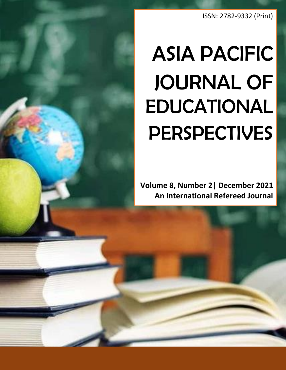ISSN: 2782-9332 (Print)

## ASIA PACIFIC JOURNAL OF EDUCATIONAL **PERSPECTIVES**

**Volume 8, Number 2| December 2021 An International Refereed Journal**